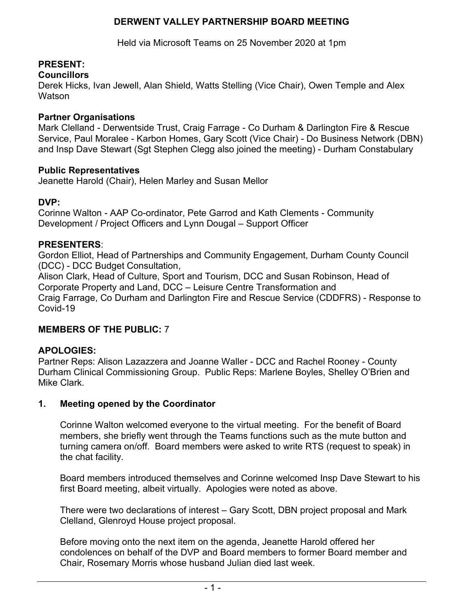# **DERWENT VALLEY PARTNERSHIP BOARD MEETING**

Held via Microsoft Teams on 25 November 2020 at 1pm

# **PRESENT:**

### **Councillors**

Derek Hicks, Ivan Jewell, Alan Shield, Watts Stelling (Vice Chair), Owen Temple and Alex **Watson** 

### **Partner Organisations**

Mark Clelland - Derwentside Trust, Craig Farrage - Co Durham & Darlington Fire & Rescue Service, Paul Moralee - Karbon Homes, Gary Scott (Vice Chair) - Do Business Network (DBN) and Insp Dave Stewart (Sgt Stephen Clegg also joined the meeting) - Durham Constabulary

#### **Public Representatives**

Jeanette Harold (Chair), Helen Marley and Susan Mellor

### **DVP:**

Corinne Walton - AAP Co-ordinator, Pete Garrod and Kath Clements - Community Development / Project Officers and Lynn Dougal – Support Officer

### **PRESENTERS**:

Gordon Elliot, Head of Partnerships and Community Engagement, Durham County Council (DCC) - DCC Budget Consultation,

Alison Clark, Head of Culture, Sport and Tourism, DCC and Susan Robinson, Head of Corporate Property and Land, DCC – Leisure Centre Transformation and Craig Farrage, Co Durham and Darlington Fire and Rescue Service (CDDFRS) - Response to Covid-19

## **MEMBERS OF THE PUBLIC:** 7

## **APOLOGIES:**

Partner Reps: Alison Lazazzera and Joanne Waller - DCC and Rachel Rooney - County Durham Clinical Commissioning Group. Public Reps: Marlene Boyles, Shelley O'Brien and Mike Clark.

## **1. Meeting opened by the Coordinator**

Corinne Walton welcomed everyone to the virtual meeting. For the benefit of Board members, she briefly went through the Teams functions such as the mute button and turning camera on/off. Board members were asked to write RTS (request to speak) in the chat facility.

Board members introduced themselves and Corinne welcomed Insp Dave Stewart to his first Board meeting, albeit virtually. Apologies were noted as above.

There were two declarations of interest – Gary Scott, DBN project proposal and Mark Clelland, Glenroyd House project proposal.

Before moving onto the next item on the agenda, Jeanette Harold offered her condolences on behalf of the DVP and Board members to former Board member and Chair, Rosemary Morris whose husband Julian died last week.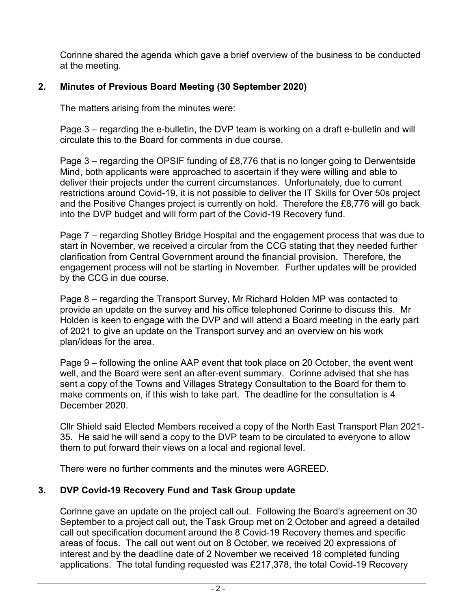Corinne shared the agenda which gave a brief overview of the business to be conducted at the meeting.

# **2. Minutes of Previous Board Meeting (30 September 2020)**

The matters arising from the minutes were:

Page 3 – regarding the e-bulletin, the DVP team is working on a draft e-bulletin and will circulate this to the Board for comments in due course.

Page 3 – regarding the OPSIF funding of £8,776 that is no longer going to Derwentside Mind, both applicants were approached to ascertain if they were willing and able to deliver their projects under the current circumstances. Unfortunately, due to current restrictions around Covid-19, it is not possible to deliver the IT Skills for Over 50s project and the Positive Changes project is currently on hold. Therefore the £8,776 will go back into the DVP budget and will form part of the Covid-19 Recovery fund.

Page 7 – regarding Shotley Bridge Hospital and the engagement process that was due to start in November, we received a circular from the CCG stating that they needed further clarification from Central Government around the financial provision. Therefore, the engagement process will not be starting in November. Further updates will be provided by the CCG in due course.

Page 8 – regarding the Transport Survey, Mr Richard Holden MP was contacted to provide an update on the survey and his office telephoned Corinne to discuss this. Mr Holden is keen to engage with the DVP and will attend a Board meeting in the early part of 2021 to give an update on the Transport survey and an overview on his work plan/ideas for the area.

Page 9 – following the online AAP event that took place on 20 October, the event went well, and the Board were sent an after-event summary. Corinne advised that she has sent a copy of the Towns and Villages Strategy Consultation to the Board for them to make comments on, if this wish to take part. The deadline for the consultation is 4 December 2020.

Cllr Shield said Elected Members received a copy of the North East Transport Plan 2021- 35. He said he will send a copy to the DVP team to be circulated to everyone to allow them to put forward their views on a local and regional level.

There were no further comments and the minutes were AGREED.

## **3. DVP Covid-19 Recovery Fund and Task Group update**

Corinne gave an update on the project call out. Following the Board's agreement on 30 September to a project call out, the Task Group met on 2 October and agreed a detailed call out specification document around the 8 Covid-19 Recovery themes and specific areas of focus. The call out went out on 8 October, we received 20 expressions of interest and by the deadline date of 2 November we received 18 completed funding applications. The total funding requested was £217,378, the total Covid-19 Recovery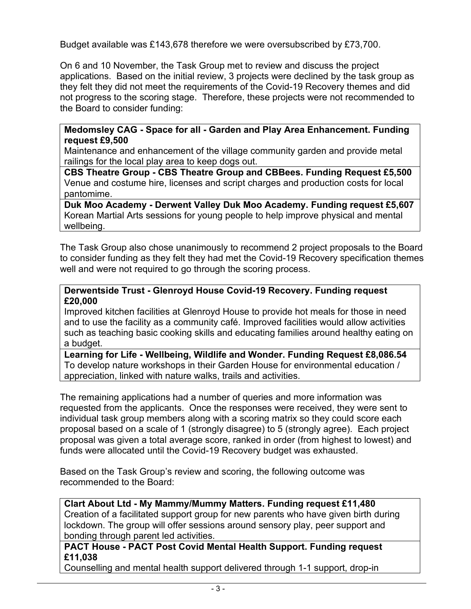Budget available was £143,678 therefore we were oversubscribed by £73,700.

On 6 and 10 November, the Task Group met to review and discuss the project applications. Based on the initial review, 3 projects were declined by the task group as they felt they did not meet the requirements of the Covid-19 Recovery themes and did not progress to the scoring stage. Therefore, these projects were not recommended to the Board to consider funding:

### **Medomsley CAG - Space for all - Garden and Play Area Enhancement. Funding request £9,500**

Maintenance and enhancement of the village community garden and provide metal railings for the local play area to keep dogs out.

**CBS Theatre Group - CBS Theatre Group and CBBees. Funding Request £5,500**  Venue and costume hire, licenses and script charges and production costs for local pantomime.

**Duk Moo Academy - Derwent Valley Duk Moo Academy. Funding request £5,607**  Korean Martial Arts sessions for young people to help improve physical and mental wellbeing.

The Task Group also chose unanimously to recommend 2 project proposals to the Board to consider funding as they felt they had met the Covid-19 Recovery specification themes well and were not required to go through the scoring process.

### **Derwentside Trust - Glenroyd House Covid-19 Recovery. Funding request £20,000**

Improved kitchen facilities at Glenroyd House to provide hot meals for those in need and to use the facility as a community café. Improved facilities would allow activities such as teaching basic cooking skills and educating families around healthy eating on a budget.

**Learning for Life - Wellbeing, Wildlife and Wonder. Funding Request £8,086.54**  To develop nature workshops in their Garden House for environmental education / appreciation, linked with nature walks, trails and activities.

The remaining applications had a number of queries and more information was requested from the applicants. Once the responses were received, they were sent to individual task group members along with a scoring matrix so they could score each proposal based on a scale of 1 (strongly disagree) to 5 (strongly agree). Each project proposal was given a total average score, ranked in order (from highest to lowest) and funds were allocated until the Covid-19 Recovery budget was exhausted.

Based on the Task Group's review and scoring, the following outcome was recommended to the Board:

## **Clart About Ltd - My Mammy/Mummy Matters. Funding request £11,480**

Creation of a facilitated support group for new parents who have given birth during lockdown. The group will offer sessions around sensory play, peer support and bonding through parent led activities.

## **PACT House - PACT Post Covid Mental Health Support. Funding request £11,038**

Counselling and mental health support delivered through 1-1 support, drop-in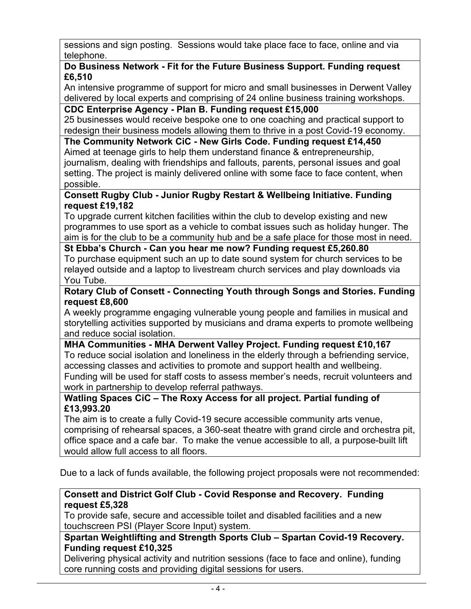sessions and sign posting. Sessions would take place face to face, online and via telephone.

## **Do Business Network - Fit for the Future Business Support. Funding request £6,510**

An intensive programme of support for micro and small businesses in Derwent Valley delivered by local experts and comprising of 24 online business training workshops.

# **CDC Enterprise Agency - Plan B. Funding request £15,000**

25 businesses would receive bespoke one to one coaching and practical support to redesign their business models allowing them to thrive in a post Covid-19 economy.

**The Community Network CiC - New Girls Code. Funding request £14,450**  Aimed at teenage girls to help them understand finance & entrepreneurship, journalism, dealing with friendships and fallouts, parents, personal issues and goal setting. The project is mainly delivered online with some face to face content, when possible.

## **Consett Rugby Club - Junior Rugby Restart & Wellbeing Initiative. Funding request £19,182**

To upgrade current kitchen facilities within the club to develop existing and new programmes to use sport as a vehicle to combat issues such as holiday hunger. The aim is for the club to be a community hub and be a safe place for those most in need.

# **St Ebba's Church - Can you hear me now? Funding request £5,260.80**

To purchase equipment such an up to date sound system for church services to be relayed outside and a laptop to livestream church services and play downloads via You Tube.

## **Rotary Club of Consett - Connecting Youth through Songs and Stories. Funding request £8,600**

A weekly programme engaging vulnerable young people and families in musical and storytelling activities supported by musicians and drama experts to promote wellbeing and reduce social isolation.

#### **MHA Communities - MHA Derwent Valley Project. Funding request £10,167**  To reduce social isolation and loneliness in the elderly through a befriending service, accessing classes and activities to promote and support health and wellbeing. Funding will be used for staff costs to assess member's needs, recruit volunteers and work in partnership to develop referral pathways.

# **Watling Spaces CiC – The Roxy Access for all project. Partial funding of £13,993.20**

The aim is to create a fully Covid-19 secure accessible community arts venue, comprising of rehearsal spaces, a 360-seat theatre with grand circle and orchestra pit, office space and a cafe bar. To make the venue accessible to all, a purpose-built lift would allow full access to all floors.

Due to a lack of funds available, the following project proposals were not recommended:

## **Consett and District Golf Club - Covid Response and Recovery. Funding request £5,328**

To provide safe, secure and accessible toilet and disabled facilities and a new touchscreen PSI (Player Score Input) system.

## **Spartan Weightlifting and Strength Sports Club – Spartan Covid-19 Recovery. Funding request £10,325**

Delivering physical activity and nutrition sessions (face to face and online), funding core running costs and providing digital sessions for users.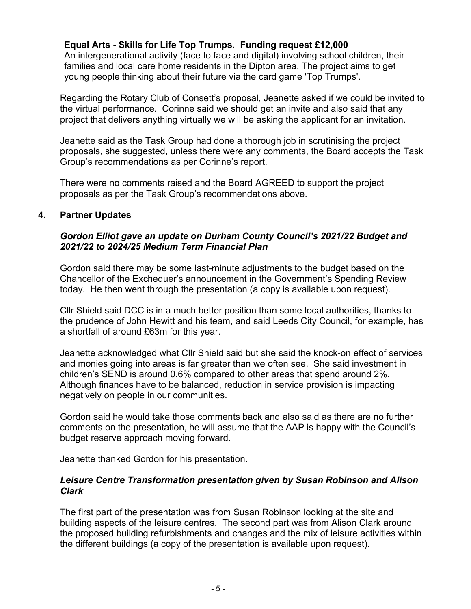**Equal Arts - Skills for Life Top Trumps. Funding request £12,000**  An intergenerational activity (face to face and digital) involving school children, their families and local care home residents in the Dipton area. The project aims to get young people thinking about their future via the card game 'Top Trumps'.

Regarding the Rotary Club of Consett's proposal, Jeanette asked if we could be invited to the virtual performance. Corinne said we should get an invite and also said that any project that delivers anything virtually we will be asking the applicant for an invitation.

Jeanette said as the Task Group had done a thorough job in scrutinising the project proposals, she suggested, unless there were any comments, the Board accepts the Task Group's recommendations as per Corinne's report.

There were no comments raised and the Board AGREED to support the project proposals as per the Task Group's recommendations above.

## **4. Partner Updates**

# *Gordon Elliot gave an update on Durham County Council's 2021/22 Budget and 2021/22 to 2024/25 Medium Term Financial Plan*

Gordon said there may be some last-minute adjustments to the budget based on the Chancellor of the Exchequer's announcement in the Government's Spending Review today. He then went through the presentation (a copy is available upon request).

Cllr Shield said DCC is in a much better position than some local authorities, thanks to the prudence of John Hewitt and his team, and said Leeds City Council, for example, has a shortfall of around £63m for this year.

Jeanette acknowledged what Cllr Shield said but she said the knock-on effect of services and monies going into areas is far greater than we often see. She said investment in children's SEND is around 0.6% compared to other areas that spend around 2%. Although finances have to be balanced, reduction in service provision is impacting negatively on people in our communities.

Gordon said he would take those comments back and also said as there are no further comments on the presentation, he will assume that the AAP is happy with the Council's budget reserve approach moving forward.

Jeanette thanked Gordon for his presentation.

### *Leisure Centre Transformation presentation given by Susan Robinson and Alison Clark*

The first part of the presentation was from Susan Robinson looking at the site and building aspects of the leisure centres. The second part was from Alison Clark around the proposed building refurbishments and changes and the mix of leisure activities within the different buildings (a copy of the presentation is available upon request).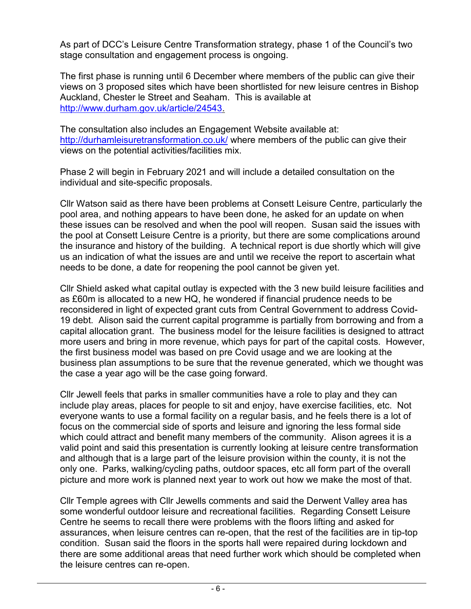As part of DCC's Leisure Centre Transformation strategy, phase 1 of the Council's two stage consultation and engagement process is ongoing.

The first phase is running until 6 December where members of the public can give their views on 3 proposed sites which have been shortlisted for new leisure centres in Bishop Auckland, Chester le Street and Seaham. This is available at [http://www.durham.gov.uk/article/24543.](http://www.durham.gov.uk/article/24543)

The consultation also includes an Engagement Website available at: <http://durhamleisuretransformation.co.uk/>where members of the public can give their views on the potential activities/facilities mix.

Phase 2 will begin in February 2021 and will include a detailed consultation on the individual and site-specific proposals.

Cllr Watson said as there have been problems at Consett Leisure Centre, particularly the pool area, and nothing appears to have been done, he asked for an update on when these issues can be resolved and when the pool will reopen. Susan said the issues with the pool at Consett Leisure Centre is a priority, but there are some complications around the insurance and history of the building. A technical report is due shortly which will give us an indication of what the issues are and until we receive the report to ascertain what needs to be done, a date for reopening the pool cannot be given yet.

Cllr Shield asked what capital outlay is expected with the 3 new build leisure facilities and as £60m is allocated to a new HQ, he wondered if financial prudence needs to be reconsidered in light of expected grant cuts from Central Government to address Covid-19 debt. Alison said the current capital programme is partially from borrowing and from a capital allocation grant. The business model for the leisure facilities is designed to attract more users and bring in more revenue, which pays for part of the capital costs. However, the first business model was based on pre Covid usage and we are looking at the business plan assumptions to be sure that the revenue generated, which we thought was the case a year ago will be the case going forward.

Cllr Jewell feels that parks in smaller communities have a role to play and they can include play areas, places for people to sit and enjoy, have exercise facilities, etc. Not everyone wants to use a formal facility on a regular basis, and he feels there is a lot of focus on the commercial side of sports and leisure and ignoring the less formal side which could attract and benefit many members of the community. Alison agrees it is a valid point and said this presentation is currently looking at leisure centre transformation and although that is a large part of the leisure provision within the county, it is not the only one. Parks, walking/cycling paths, outdoor spaces, etc all form part of the overall picture and more work is planned next year to work out how we make the most of that.

Cllr Temple agrees with Cllr Jewells comments and said the Derwent Valley area has some wonderful outdoor leisure and recreational facilities. Regarding Consett Leisure Centre he seems to recall there were problems with the floors lifting and asked for assurances, when leisure centres can re-open, that the rest of the facilities are in tip-top condition. Susan said the floors in the sports hall were repaired during lockdown and there are some additional areas that need further work which should be completed when the leisure centres can re-open.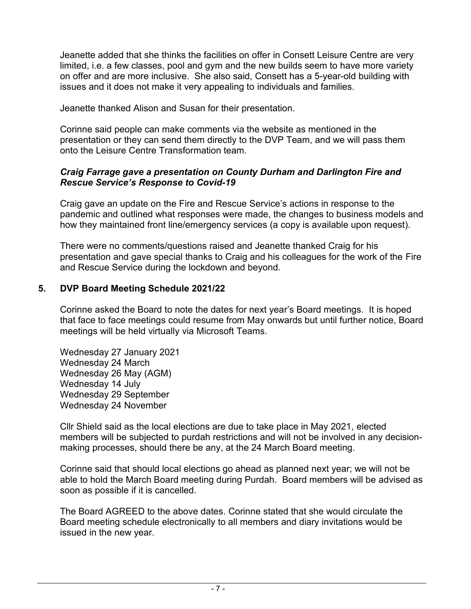Jeanette added that she thinks the facilities on offer in Consett Leisure Centre are very limited, i.e. a few classes, pool and gym and the new builds seem to have more variety on offer and are more inclusive. She also said, Consett has a 5-year-old building with issues and it does not make it very appealing to individuals and families.

Jeanette thanked Alison and Susan for their presentation.

Corinne said people can make comments via the website as mentioned in the presentation or they can send them directly to the DVP Team, and we will pass them onto the Leisure Centre Transformation team.

# *Craig Farrage gave a presentation on County Durham and Darlington Fire and Rescue Service's Response to Covid-19*

Craig gave an update on the Fire and Rescue Service's actions in response to the pandemic and outlined what responses were made, the changes to business models and how they maintained front line/emergency services (a copy is available upon request).

There were no comments/questions raised and Jeanette thanked Craig for his presentation and gave special thanks to Craig and his colleagues for the work of the Fire and Rescue Service during the lockdown and beyond.

# **5. DVP Board Meeting Schedule 2021/22**

Corinne asked the Board to note the dates for next year's Board meetings. It is hoped that face to face meetings could resume from May onwards but until further notice, Board meetings will be held virtually via Microsoft Teams.

Wednesday 27 January 2021 Wednesday 24 March Wednesday 26 May (AGM) Wednesday 14 July Wednesday 29 September Wednesday 24 November

Cllr Shield said as the local elections are due to take place in May 2021, elected members will be subjected to purdah restrictions and will not be involved in any decisionmaking processes, should there be any, at the 24 March Board meeting.

Corinne said that should local elections go ahead as planned next year; we will not be able to hold the March Board meeting during Purdah. Board members will be advised as soon as possible if it is cancelled.

The Board AGREED to the above dates. Corinne stated that she would circulate the Board meeting schedule electronically to all members and diary invitations would be issued in the new year.